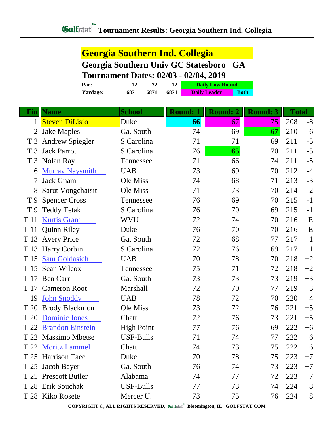## **Georgia Southern Ind. Collegia Georgia Southern Univ GC Statesboro GA**

## **Tournament Dates: 02/03 - 02/04, 2019**

|                 | $\sim$ 0 $\mu$ main che $\sim$ 0.000 $\sigma$ 0.000 $\sigma$ |      |      |                        | $0 = 0.1$   |  |  |
|-----------------|--------------------------------------------------------------|------|------|------------------------|-------------|--|--|
| Par:            |                                                              |      |      | <b>Daily Low Round</b> |             |  |  |
| <b>Yardage:</b> | 6871                                                         | 6871 | 6871 | <b>Daily Leader</b>    | <b>Both</b> |  |  |

| Fin            | <b>Name</b>             | <b>School</b>     | <b>Round: 1</b> | <b>Round: 2</b> | <b>Round: 3</b> | <b>Total</b> |      |
|----------------|-------------------------|-------------------|-----------------|-----------------|-----------------|--------------|------|
| $\mathbf{1}$   | <b>Steven DiLisio</b>   | Duke              | 66              | 67              | 75              | 208          | $-8$ |
| 2              | <b>Jake Maples</b>      | Ga. South         | 74              | 69              | 67              | 210          | $-6$ |
| T <sub>3</sub> | <b>Andrew Spiegler</b>  | S Carolina        | 71              | 71              | 69              | 211          | $-5$ |
| T <sub>3</sub> | <b>Jack Parrot</b>      | S Carolina        | 76              | 65              | 70              | 211          | $-5$ |
| T <sub>3</sub> | Nolan Ray               | Tennessee         | 71              | 66              | 74              | 211          | $-5$ |
| 6              | <b>Murray Naysmith</b>  | <b>UAB</b>        | 73              | 69              | 70              | 212          | $-4$ |
| 7              | <b>Jack Gnam</b>        | Ole Miss          | 74              | 68              | 71              | 213          | $-3$ |
| 8              | Sarut Vongchaisit       | Ole Miss          | 71              | 73              | 70              | 214          | $-2$ |
| T9             | <b>Spencer Cross</b>    | Tennessee         | 76              | 69              | 70              | 215          | $-1$ |
| T 9            | <b>Teddy Tetak</b>      | S Carolina        | 76              | 70              | 69              | 215          | $-1$ |
| T 11           | <b>Kurtis Grant</b>     | <b>WVU</b>        | 72              | 74              | 70              | 216          | E    |
| T 11           | <b>Quinn Riley</b>      | Duke              | 76              | 70              | 70              | 216          | E    |
| T 13           | <b>Avery Price</b>      | Ga. South         | 72              | 68              | 77              | 217          | $+1$ |
| T 13           | <b>Harry Corbin</b>     | S Carolina        | 72              | 76              | 69              | 217          | $+1$ |
| T 15           | <b>Sam Goldasich</b>    | <b>UAB</b>        | 70              | 78              | 70              | 218          | $+2$ |
| T 15           | Sean Wilcox             | Tennessee         | 75              | 71              | 72              | 218          | $+2$ |
| T 17           | <b>Ben Carr</b>         | Ga. South         | 73              | 73              | 73              | 219          | $+3$ |
| T 17           | <b>Cameron Root</b>     | Marshall          | 72              | 70              | 77              | 219          | $+3$ |
| 19             | <b>John Snoddy</b>      | <b>UAB</b>        | 78              | 72              | 70              | 220          | $+4$ |
| T 20           | <b>Brody Blackmon</b>   | Ole Miss          | 73              | 72              | 76              | 221          | $+5$ |
| T 20           | <b>Dominic Jones</b>    | Chatt             | 72              | 76              | 73              | 221          | $+5$ |
| T 22           | <b>Brandon Einstein</b> | <b>High Point</b> | 77              | 76              | 69              | 222          | $+6$ |
| T 22           | <b>Massimo Mbetse</b>   | <b>USF-Bulls</b>  | 71              | 74              | 77              | 222          | $+6$ |
| T 22           | <b>Moritz Lammel</b>    | Chatt             | 74              | 73              | 75              | 222          | $+6$ |
|                | T 25 Harrison Taee      | Duke              | 70              | 78              | 75              | 223          | $+7$ |
|                | T 25 Jacob Bayer        | Ga. South         | 76              | 74              | 73              | 223          | $+7$ |
|                | T 25 Prescott Butler    | Alabama           | 74              | 77              | 72              | 223          | $+7$ |
|                | T 28 Erik Souchak       | <b>USF-Bulls</b>  | 77              | 73              | 74              | 224          | $+8$ |
|                | T 28 Kiko Rosete        | Mercer U.         | 73              | 75              | 76              | 224          | $+8$ |

**COPYRIGHT ©, ALL RIGHTS RESERVED, Bloomington, IL GOLFSTAT.COM**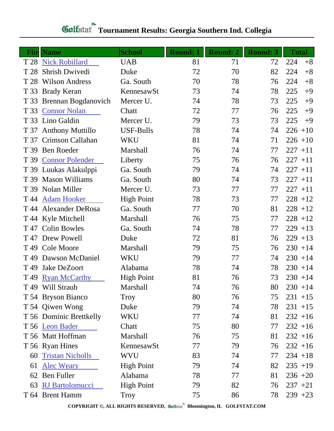| $\bf{Fin}$      | <b>Name</b>             | <b>School</b>     | <b>Round: 1</b> | <b>Round: 2</b> | <b>Round: 3</b> | <b>Total</b> |
|-----------------|-------------------------|-------------------|-----------------|-----------------|-----------------|--------------|
|                 | T 28 Nick Robillard     | <b>UAB</b>        | 81              | 71              | 72              | 224<br>$+8$  |
| T 28            | <b>Shrish Dwivedi</b>   | Duke              | 72              | 70              | 82              | 224<br>$+8$  |
| T 28            | <b>Wilson Andress</b>   | Ga. South         | 70              | 78              | 76              | 224<br>$+8$  |
| T 33            | <b>Brady Keran</b>      | KennesawSt        | 73              | 74              | 78              | 225<br>$+9$  |
| T 33            | Brennan Bogdanovich     | Mercer U.         | 74              | 78              | 73              | 225<br>$+9$  |
| T 33            | <b>Connor Nolan</b>     | Chatt             | 72              | 77              | 76              | 225<br>$+9$  |
| T 33            | Lino Galdin             | Mercer U.         | 79              | 73              | 73              | 225<br>$+9$  |
| T 37            | <b>Anthony Muttillo</b> | USF-Bulls         | 78              | 74              | 74              | $226 + 10$   |
| T 37            | Crimson Callahan        | WKU               | 81              | 74              | 71              | $226 + 10$   |
| T 39            | <b>Ben Roeder</b>       | <b>Marshall</b>   | 76              | 74              | 77              | $227 + 11$   |
| T 39            | <b>Connor Polender</b>  | Liberty           | 75              | 76              | 76              | $227 + 11$   |
|                 | T 39 Luukas Alakulppi   | Ga. South         | 79              | 74              | 74              | $227 + 11$   |
| T 39            | <b>Mason Williams</b>   | Ga. South         | 80              | 74              | 73              | $227 + 11$   |
| T 39            | Nolan Miller            | Mercer U.         | 73              | 77              | 77              | $227 + 11$   |
| T 44            | <b>Adam Hooker</b>      | <b>High Point</b> | 78              | 73              | 77              | $228 + 12$   |
|                 | T 44 Alexander DeRosa   | Ga. South         | 77              | 70              | 81              | $228 + 12$   |
|                 | T 44 Kyle Mitchell      | Marshall          | 76              | 75              | 77              | $228 + 12$   |
|                 | T 47 Colin Bowles       | Ga. South         | 74              | 78              | 77              | $229 + 13$   |
| T 47            | Drew Powell             | Duke              | 72              | 81              | 76              | $229 + 13$   |
|                 | T 49 Cole Moore         | <b>Marshall</b>   | 79              | 75              | 76              | $230 + 14$   |
| T 49            | Dawson McDaniel         | WKU               | 79              | 77              | 74              | $230 + 14$   |
| T <sub>49</sub> | Jake DeZoort            | Alabama           | 78              | 74              | 78              | $230 + 14$   |
| T 49            | <b>Ryan McCarthy</b>    | <b>High Point</b> | 81              | 76              | 73              | $230 + 14$   |
|                 | T 49 Will Straub        | Marshall          | 74              | 76              | 80              | $230 + 14$   |
|                 | T 54 Bryson Bianco      | Troy              | 80              | 76              | 75              | $231 + 15$   |
|                 | T 54 Qiwen Wong         | Duke              | 79              | 74              | 78              | $231 + 15$   |
|                 | T 56 Dominic Brettkelly | WKU               | 77              | 74              | 81              | $232 + 16$   |
|                 | T 56 Leon Bader         | Chatt             | 75              | 80              | 77              | $232 + 16$   |
|                 | T 56 Matt Hoffman       | Marshall          | 76              | 75              | 81              | $232 + 16$   |
|                 | T 56 Ryan Hines         | KennesawSt        | 77              | 79              | 76              | $232 + 16$   |
| 60              | <b>Tristan Nicholls</b> | <b>WVU</b>        | 83              | 74              | 77              | $234 + 18$   |
| 61              | <b>Alec Weary</b>       | <b>High Point</b> | 79              | 74              | 82              | $235 + 19$   |
| 62              | <b>Ben Fuller</b>       | Alabama           | 78              | 77              | 81              | $236 + 20$   |
| 63              | <b>RJ</b> Bartolomucci  | <b>High Point</b> | 79              | 82              | 76              | $237 + 21$   |
|                 | T 64 Brent Hamm         | Troy              | 75              | 86              | 78              | $239 + 23$   |

## **Tournament Results: Georgia Southern Ind. Collegia**